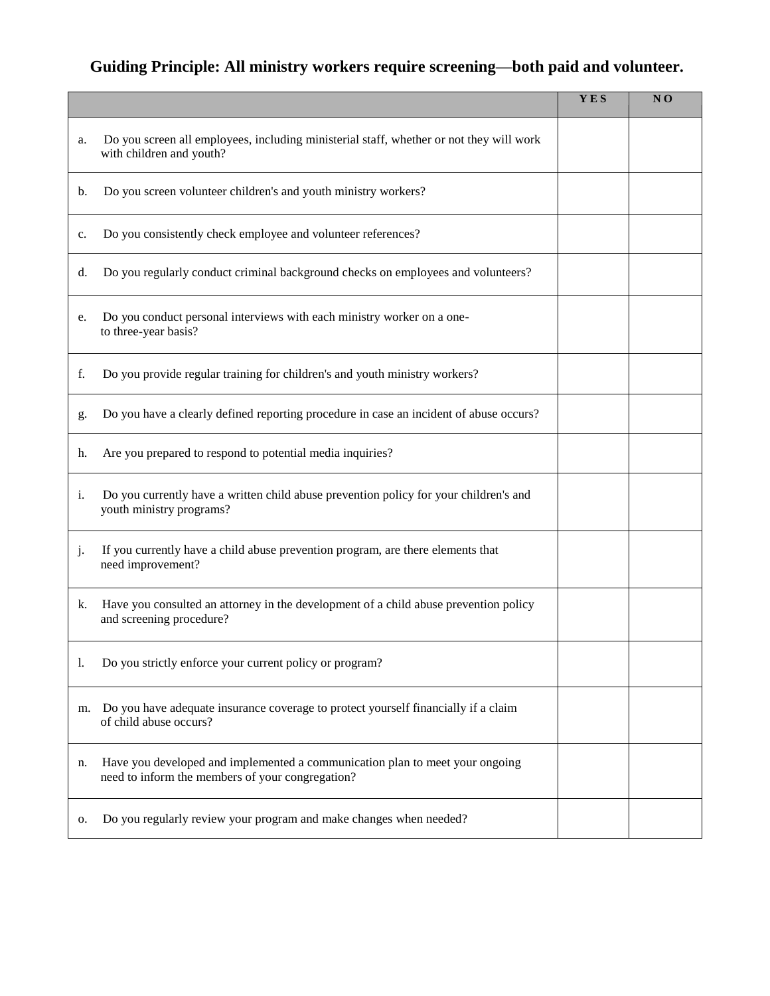#### **Guiding Principle: All ministry workers require screening—both paid and volunteer.**

|    |                                                                                                                                  | YES | NO |
|----|----------------------------------------------------------------------------------------------------------------------------------|-----|----|
| a. | Do you screen all employees, including ministerial staff, whether or not they will work<br>with children and youth?              |     |    |
| b. | Do you screen volunteer children's and youth ministry workers?                                                                   |     |    |
| c. | Do you consistently check employee and volunteer references?                                                                     |     |    |
| d. | Do you regularly conduct criminal background checks on employees and volunteers?                                                 |     |    |
| e. | Do you conduct personal interviews with each ministry worker on a one-<br>to three-year basis?                                   |     |    |
| f. | Do you provide regular training for children's and youth ministry workers?                                                       |     |    |
| g. | Do you have a clearly defined reporting procedure in case an incident of abuse occurs?                                           |     |    |
| h. | Are you prepared to respond to potential media inquiries?                                                                        |     |    |
| i. | Do you currently have a written child abuse prevention policy for your children's and<br>youth ministry programs?                |     |    |
| j. | If you currently have a child abuse prevention program, are there elements that<br>need improvement?                             |     |    |
| k. | Have you consulted an attorney in the development of a child abuse prevention policy<br>and screening procedure?                 |     |    |
| I. | Do you strictly enforce your current policy or program?                                                                          |     |    |
| m. | Do you have adequate insurance coverage to protect yourself financially if a claim<br>of child abuse occurs?                     |     |    |
| n. | Have you developed and implemented a communication plan to meet your ongoing<br>need to inform the members of your congregation? |     |    |
| о. | Do you regularly review your program and make changes when needed?                                                               |     |    |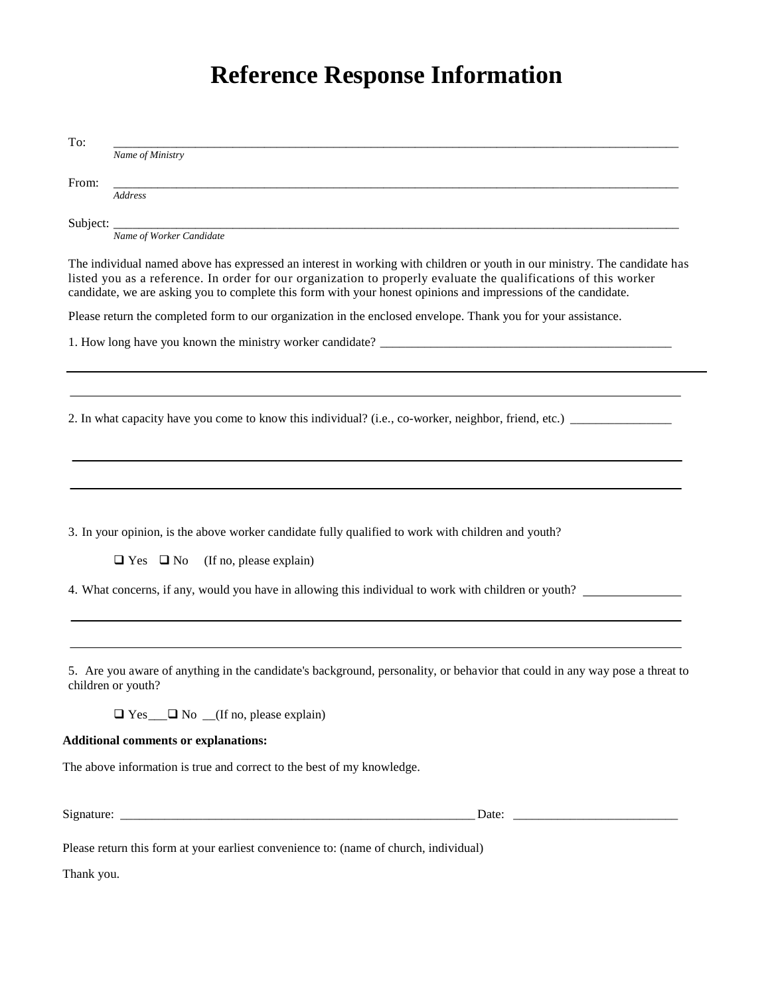# **Reference Response Information**

| To:        |                                                                                                                                                                                                                                                                                                                                                                |
|------------|----------------------------------------------------------------------------------------------------------------------------------------------------------------------------------------------------------------------------------------------------------------------------------------------------------------------------------------------------------------|
|            | Name of Ministry                                                                                                                                                                                                                                                                                                                                               |
| From:      |                                                                                                                                                                                                                                                                                                                                                                |
|            | Address                                                                                                                                                                                                                                                                                                                                                        |
|            |                                                                                                                                                                                                                                                                                                                                                                |
|            | Name of Worker Candidate                                                                                                                                                                                                                                                                                                                                       |
|            | The individual named above has expressed an interest in working with children or youth in our ministry. The candidate has<br>listed you as a reference. In order for our organization to properly evaluate the qualifications of this worker<br>candidate, we are asking you to complete this form with your honest opinions and impressions of the candidate. |
|            | Please return the completed form to our organization in the enclosed envelope. Thank you for your assistance.                                                                                                                                                                                                                                                  |
|            |                                                                                                                                                                                                                                                                                                                                                                |
|            |                                                                                                                                                                                                                                                                                                                                                                |
|            |                                                                                                                                                                                                                                                                                                                                                                |
|            |                                                                                                                                                                                                                                                                                                                                                                |
|            | 2. In what capacity have you come to know this individual? (i.e., co-worker, neighbor, friend, etc.)                                                                                                                                                                                                                                                           |
|            |                                                                                                                                                                                                                                                                                                                                                                |
|            |                                                                                                                                                                                                                                                                                                                                                                |
|            |                                                                                                                                                                                                                                                                                                                                                                |
|            |                                                                                                                                                                                                                                                                                                                                                                |
|            | 3. In your opinion, is the above worker candidate fully qualified to work with children and youth?                                                                                                                                                                                                                                                             |
|            |                                                                                                                                                                                                                                                                                                                                                                |
|            | $\Box$ Yes $\Box$ No<br>(If no, please explain)                                                                                                                                                                                                                                                                                                                |
|            | 4. What concerns, if any, would you have in allowing this individual to work with children or youth?                                                                                                                                                                                                                                                           |
|            |                                                                                                                                                                                                                                                                                                                                                                |
|            |                                                                                                                                                                                                                                                                                                                                                                |
|            |                                                                                                                                                                                                                                                                                                                                                                |
|            | 5. Are you aware of anything in the candidate's background, personality, or behavior that could in any way pose a threat to<br>children or youth?                                                                                                                                                                                                              |
|            | $\Box$ Yes $\Box$ No $\Box$ (If no, please explain)                                                                                                                                                                                                                                                                                                            |
|            | <b>Additional comments or explanations:</b>                                                                                                                                                                                                                                                                                                                    |
|            | The above information is true and correct to the best of my knowledge.                                                                                                                                                                                                                                                                                         |
|            |                                                                                                                                                                                                                                                                                                                                                                |
|            | Date: the contract of the contract of the contract of the contract of the contract of the contract of the contract of the contract of the contract of the contract of the contract of the contract of the contract of the cont                                                                                                                                 |
|            |                                                                                                                                                                                                                                                                                                                                                                |
|            | Please return this form at your earliest convenience to: (name of church, individual)                                                                                                                                                                                                                                                                          |
| Thank you. |                                                                                                                                                                                                                                                                                                                                                                |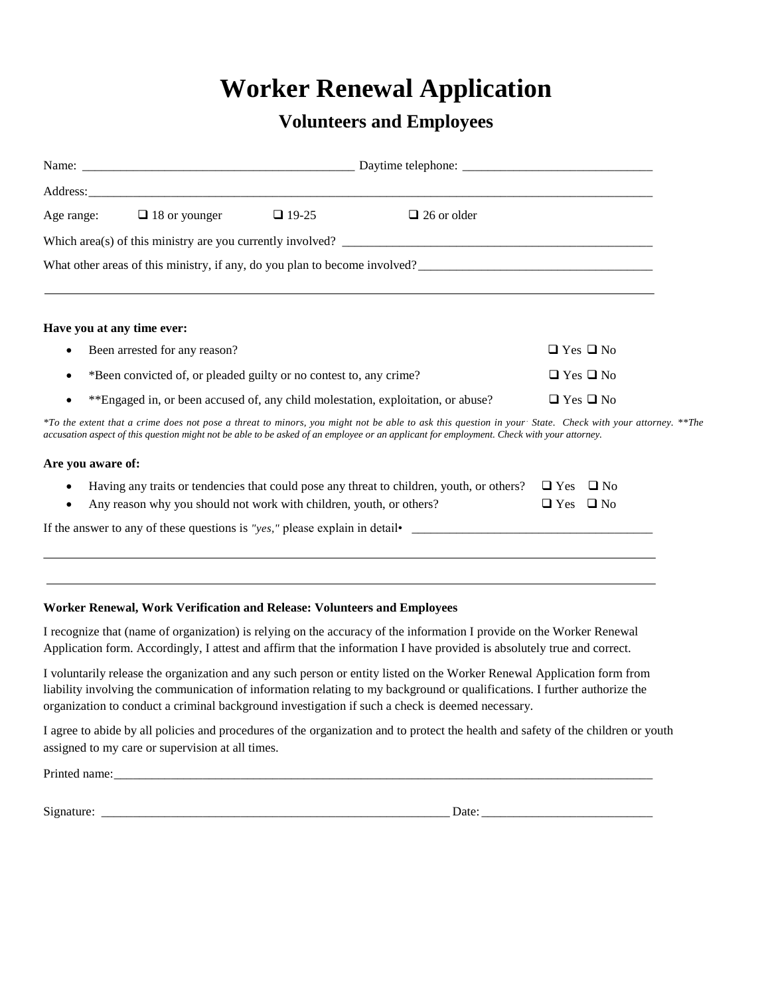### **Worker Renewal Application**

#### **Volunteers and Employees**

|                            | Age range: $\Box$ 18 or younger                                    | $\Box$ 19-25 | $\Box$ 26 or older                                                                                                                        |                                                                                                                                                         |
|----------------------------|--------------------------------------------------------------------|--------------|-------------------------------------------------------------------------------------------------------------------------------------------|---------------------------------------------------------------------------------------------------------------------------------------------------------|
|                            |                                                                    |              | Which area(s) of this ministry are you currently involved?                                                                                |                                                                                                                                                         |
|                            |                                                                    |              | What other areas of this ministry, if any, do you plan to become involved?                                                                |                                                                                                                                                         |
|                            |                                                                    |              |                                                                                                                                           |                                                                                                                                                         |
| Have you at any time ever: |                                                                    |              |                                                                                                                                           |                                                                                                                                                         |
| ٠                          | Been arrested for any reason?                                      |              |                                                                                                                                           | $\Box$ Yes $\Box$ No                                                                                                                                    |
|                            | *Been convicted of, or pleaded guilty or no contest to, any crime? |              |                                                                                                                                           | $\Box$ Yes $\Box$ No                                                                                                                                    |
|                            |                                                                    |              | **Engaged in, or been accused of, any child molestation, exploitation, or abuse?                                                          | $\Box$ Yes $\Box$ No                                                                                                                                    |
|                            |                                                                    |              | accusation aspect of this question might not be able to be asked of an employee or an applicant for employment. Check with your attorney. | *To the extent that a crime does not pose a threat to minors, you might not be able to ask this question in your State. Check with your attorney. **The |
| Are you aware of:          |                                                                    |              |                                                                                                                                           |                                                                                                                                                         |

| Having any traits or tendencies that could pose any threat to children, youth, or others? $\Box$ Yes $\Box$ No |                      |  |
|----------------------------------------------------------------------------------------------------------------|----------------------|--|
| Any reason why you should not work with children, youth, or others?                                            | $\Box$ Yes $\Box$ No |  |

If the answer to any of these questions is *"yes,"* please explain in detail• \_\_\_\_\_\_\_\_\_\_\_\_\_\_\_\_\_\_\_\_\_\_\_\_\_\_\_\_\_\_\_\_\_\_\_\_\_\_

#### **Worker Renewal, Work Verification and Release: Volunteers and Employees**

I recognize that (name of organization) is relying on the accuracy of the information I provide on the Worker Renewal Application form. Accordingly, I attest and affirm that the information I have provided is absolutely true and correct.

I voluntarily release the organization and any such person or entity listed on the Worker Renewal Application form from liability involving the communication of information relating to my background or qualifications. I further authorize the organization to conduct a criminal background investigation if such a check is deemed necessary.

I agree to abide by all policies and procedures of the organization and to protect the health and safety of the children or youth assigned to my care or supervision at all times.

Printed name:

Signature: \_\_\_\_\_\_\_\_\_\_\_\_\_\_\_\_\_\_\_\_\_\_\_\_\_\_\_\_\_\_\_\_\_\_\_\_\_\_\_\_\_\_\_\_\_\_\_\_\_\_\_\_\_\_\_ Date: \_\_\_\_\_\_\_\_\_\_\_\_\_\_\_\_\_\_\_\_\_\_\_\_\_\_\_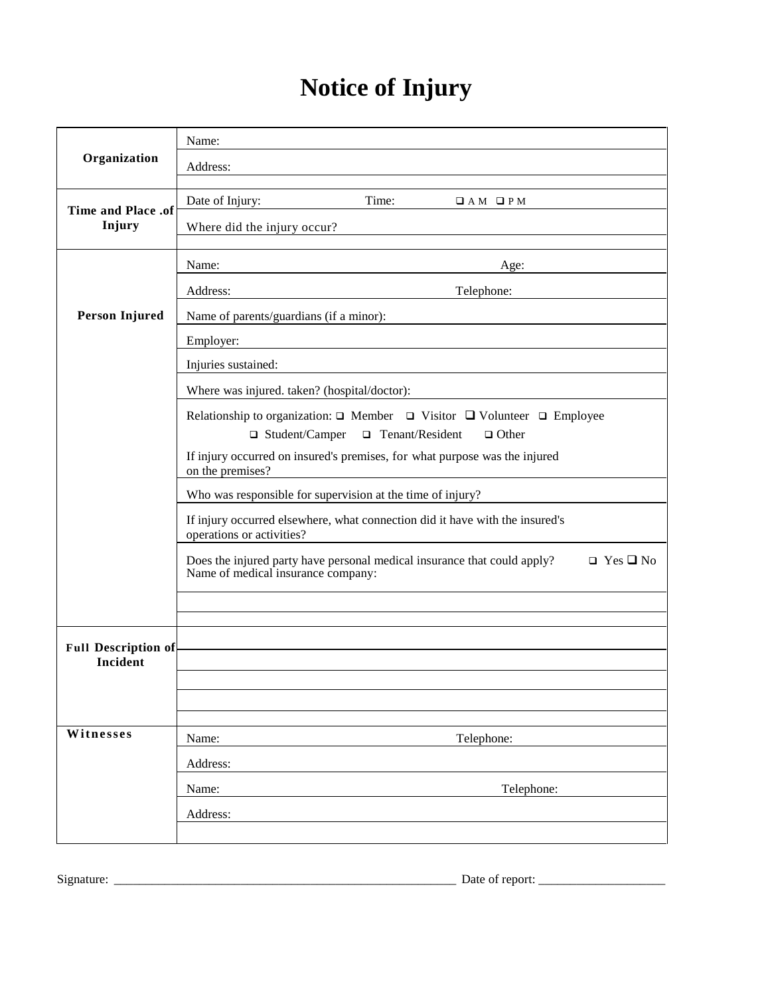## **Notice of Injury**

|                                        | Name:                                                                                                                                  |  |  |
|----------------------------------------|----------------------------------------------------------------------------------------------------------------------------------------|--|--|
| Organization                           | Address:                                                                                                                               |  |  |
|                                        | Time:<br>Date of Injury:<br>$\Box$ AM $\Box$ PM                                                                                        |  |  |
| <b>Time and Place .of</b><br>Injury    | Where did the injury occur?                                                                                                            |  |  |
|                                        |                                                                                                                                        |  |  |
|                                        | Name:<br>Age:                                                                                                                          |  |  |
|                                        | Telephone:<br>Address:                                                                                                                 |  |  |
| Person Injured                         | Name of parents/guardians (if a minor):                                                                                                |  |  |
|                                        | Employer:                                                                                                                              |  |  |
|                                        | Injuries sustained:                                                                                                                    |  |  |
|                                        | Where was injured. taken? (hospital/doctor):                                                                                           |  |  |
|                                        | Relationship to organization: $\Box$ Member $\Box$ Visitor $\Box$ Volunteer $\Box$ Employee                                            |  |  |
|                                        | $\Box$ Student/Camper $\Box$ Tenant/Resident<br>$\Box$ Other                                                                           |  |  |
|                                        | If injury occurred on insured's premises, for what purpose was the injured<br>on the premises?                                         |  |  |
|                                        | Who was responsible for supervision at the time of injury?                                                                             |  |  |
|                                        | If injury occurred elsewhere, what connection did it have with the insured's<br>operations or activities?                              |  |  |
|                                        | Does the injured party have personal medical insurance that could apply?<br>$\Box$ Yes $\Box$ No<br>Name of medical insurance company: |  |  |
|                                        |                                                                                                                                        |  |  |
|                                        |                                                                                                                                        |  |  |
| <b>Full Description of</b><br>Incident |                                                                                                                                        |  |  |
|                                        |                                                                                                                                        |  |  |
|                                        |                                                                                                                                        |  |  |
| Witnesses                              |                                                                                                                                        |  |  |
|                                        | Name:<br>Telephone:                                                                                                                    |  |  |
|                                        | Address:                                                                                                                               |  |  |
|                                        | Name:<br>Telephone:                                                                                                                    |  |  |
|                                        | Address:                                                                                                                               |  |  |
|                                        |                                                                                                                                        |  |  |

Signature: \_\_\_\_\_\_\_\_\_\_\_\_\_\_\_\_\_\_\_\_\_\_\_\_\_\_\_\_\_\_\_\_\_\_\_\_\_\_\_\_\_\_\_\_\_\_\_\_\_\_\_\_\_\_ Date of report: \_\_\_\_\_\_\_\_\_\_\_\_\_\_\_\_\_\_\_\_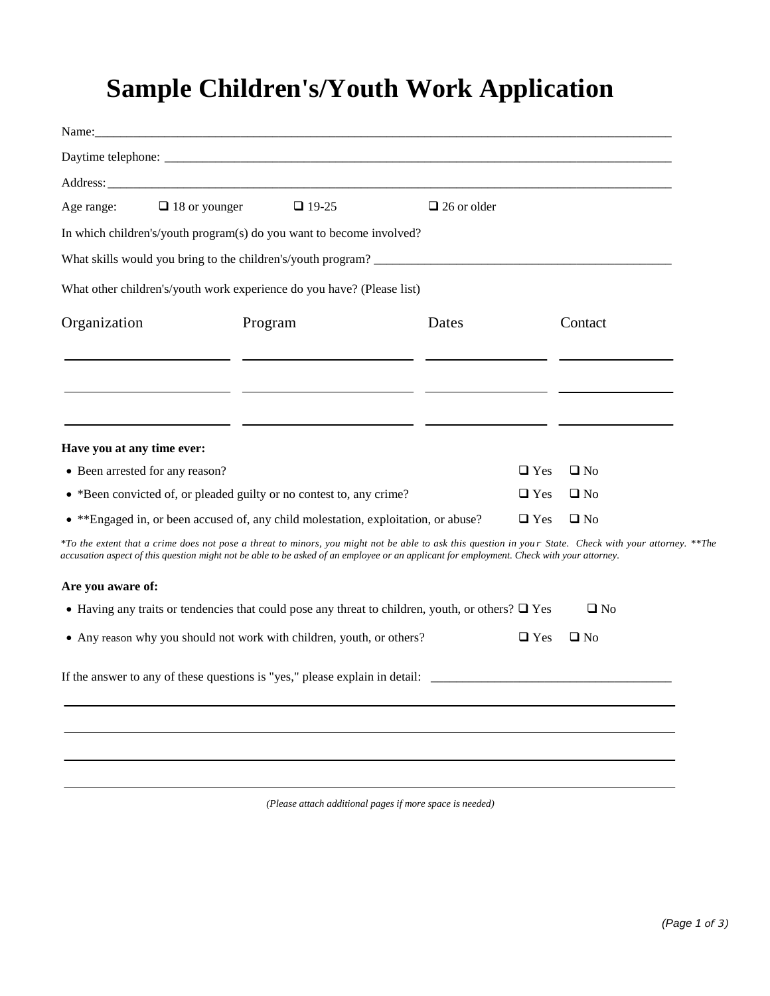## **Sample Children's/Youth Work Application**

| Age range:                                                                                                                                                                                                                                                                                           | $\Box$ 18 or younger $\Box$ 19-25                                                                                       | $\Box$ 26 or older |            |              |  |
|------------------------------------------------------------------------------------------------------------------------------------------------------------------------------------------------------------------------------------------------------------------------------------------------------|-------------------------------------------------------------------------------------------------------------------------|--------------------|------------|--------------|--|
| In which children's/youth program(s) do you want to become involved?                                                                                                                                                                                                                                 |                                                                                                                         |                    |            |              |  |
| What skills would you bring to the children's/youth program?                                                                                                                                                                                                                                         |                                                                                                                         |                    |            |              |  |
| What other children's/youth work experience do you have? (Please list)                                                                                                                                                                                                                               |                                                                                                                         |                    |            |              |  |
| Organization                                                                                                                                                                                                                                                                                         | Program                                                                                                                 | Dates              |            | Contact      |  |
|                                                                                                                                                                                                                                                                                                      | <u> 1999 - Johann Harry Harry Harry Harry Harry Harry Harry Harry Harry Harry Harry Harry Harry Harry Harry Harry H</u> |                    |            |              |  |
|                                                                                                                                                                                                                                                                                                      |                                                                                                                         |                    |            |              |  |
| Have you at any time ever:                                                                                                                                                                                                                                                                           | <u> 1990 - 1990 - 1990 - 1990 - 1990 - 1990 - 1990 - 1990 - 1990 - 1990 - 1990 - 1990 - 1990 - 1990 - 1990 - 199</u>    |                    |            |              |  |
| • Been arrested for any reason?                                                                                                                                                                                                                                                                      |                                                                                                                         |                    | $\Box$ Yes | $\Box$ No    |  |
| • *Been convicted of, or pleaded guilty or no contest to, any crime?                                                                                                                                                                                                                                 |                                                                                                                         |                    | $\Box$ Yes | $\Box$ No    |  |
| • **Engaged in, or been accused of, any child molestation, exploitation, or abuse?                                                                                                                                                                                                                   |                                                                                                                         |                    | $\Box$ Yes | $\square$ No |  |
| *To the extent that a crime does not pose a threat to minors, you might not be able to ask this question in your State. Check with your attorney. **The<br>accusation aspect of this question might not be able to be asked of an employee or an applicant for employment. Check with your attorney. |                                                                                                                         |                    |            |              |  |
| Are you aware of:                                                                                                                                                                                                                                                                                    |                                                                                                                         |                    |            |              |  |
| • Having any traits or tendencies that could pose any threat to children, youth, or others? $\Box$ Yes                                                                                                                                                                                               |                                                                                                                         |                    |            | $\square$ No |  |
| • Any reason why you should not work with children, youth, or others?                                                                                                                                                                                                                                |                                                                                                                         |                    | $\Box$ Yes | $\Box$ No    |  |
| If the answer to any of these questions is "yes," please explain in detail:                                                                                                                                                                                                                          |                                                                                                                         |                    |            |              |  |
|                                                                                                                                                                                                                                                                                                      |                                                                                                                         |                    |            |              |  |
|                                                                                                                                                                                                                                                                                                      |                                                                                                                         |                    |            |              |  |
|                                                                                                                                                                                                                                                                                                      |                                                                                                                         |                    |            |              |  |

*(Please attach additional pages if more space is needed)*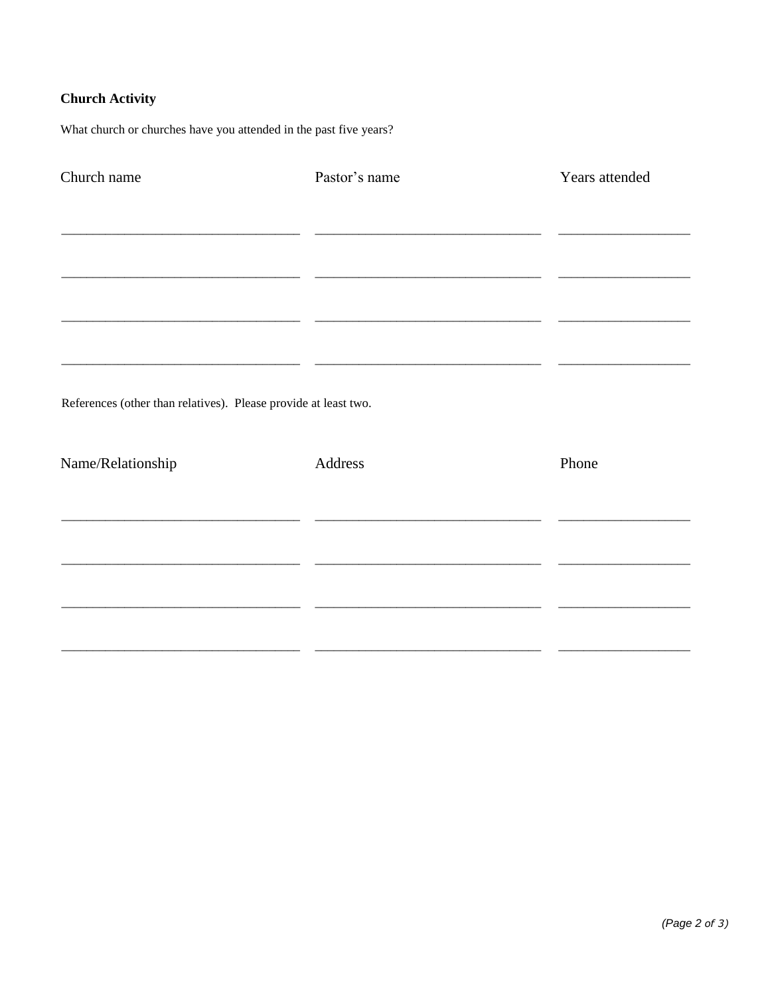#### **Church Activity**

What church or churches have you attended in the past five years?

| Church name                                                     | Pastor's name                                                     | Years attended |
|-----------------------------------------------------------------|-------------------------------------------------------------------|----------------|
|                                                                 |                                                                   |                |
|                                                                 |                                                                   |                |
|                                                                 | <u> 1980 - Johann John Stein, mars an deus Frankrik (f. 1980)</u> |                |
|                                                                 |                                                                   |                |
|                                                                 |                                                                   |                |
| References (other than relatives). Please provide at least two. |                                                                   |                |
| Name/Relationship                                               | Address                                                           | Phone          |
|                                                                 |                                                                   |                |
|                                                                 |                                                                   |                |
|                                                                 |                                                                   |                |
|                                                                 |                                                                   |                |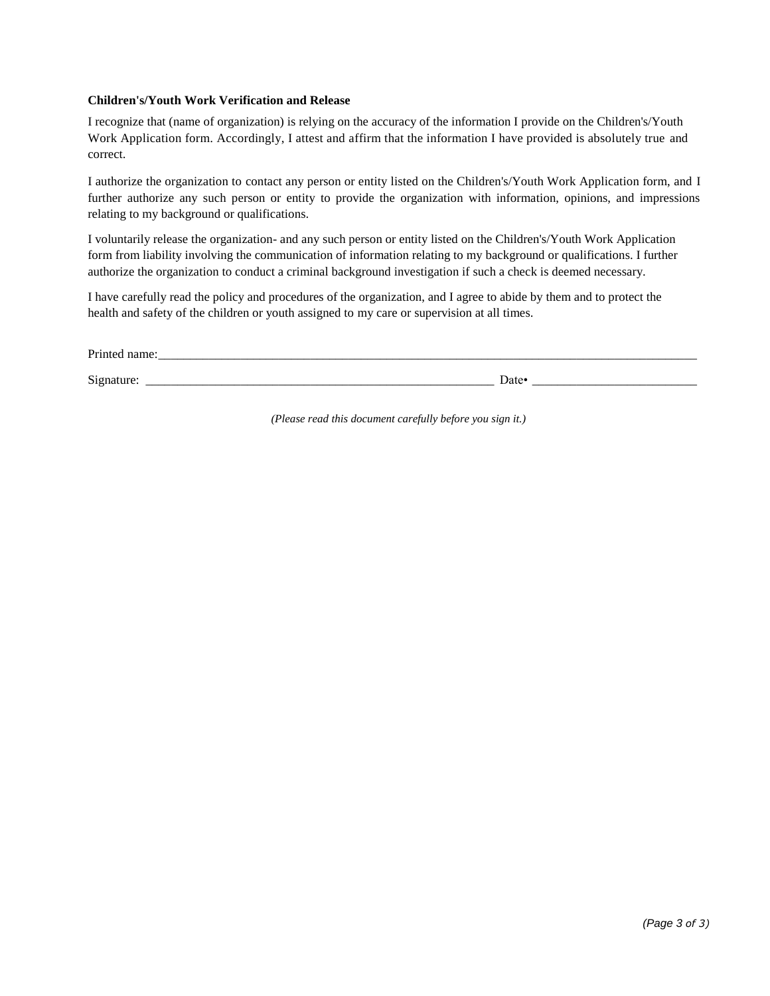#### **Children's/Youth Work Verification and Release**

I recognize that (name of organization) is relying on the accuracy of the information I provide on the Children's/Youth Work Application form. Accordingly, I attest and affirm that the information I have provided is absolutely true and correct.

I authorize the organization to contact any person or entity listed on the Children's/Youth Work Application form, and I further authorize any such person or entity to provide the organization with information, opinions, and impressions relating to my background or qualifications.

I voluntarily release the organization- and any such person or entity listed on the Children's/Youth Work Application form from liability involving the communication of information relating to my background or qualifications. I further authorize the organization to conduct a criminal background investigation if such a check is deemed necessary.

I have carefully read the policy and procedures of the organization, and I agree to abide by them and to protect the health and safety of the children or youth assigned to my care or supervision at all times.

| Drint.                 |                   |  |
|------------------------|-------------------|--|
|                        |                   |  |
| $\sim$<br>$-102$<br>ມ⊥ | Date <sup>•</sup> |  |

*(Please read this document carefully before you sign it.)*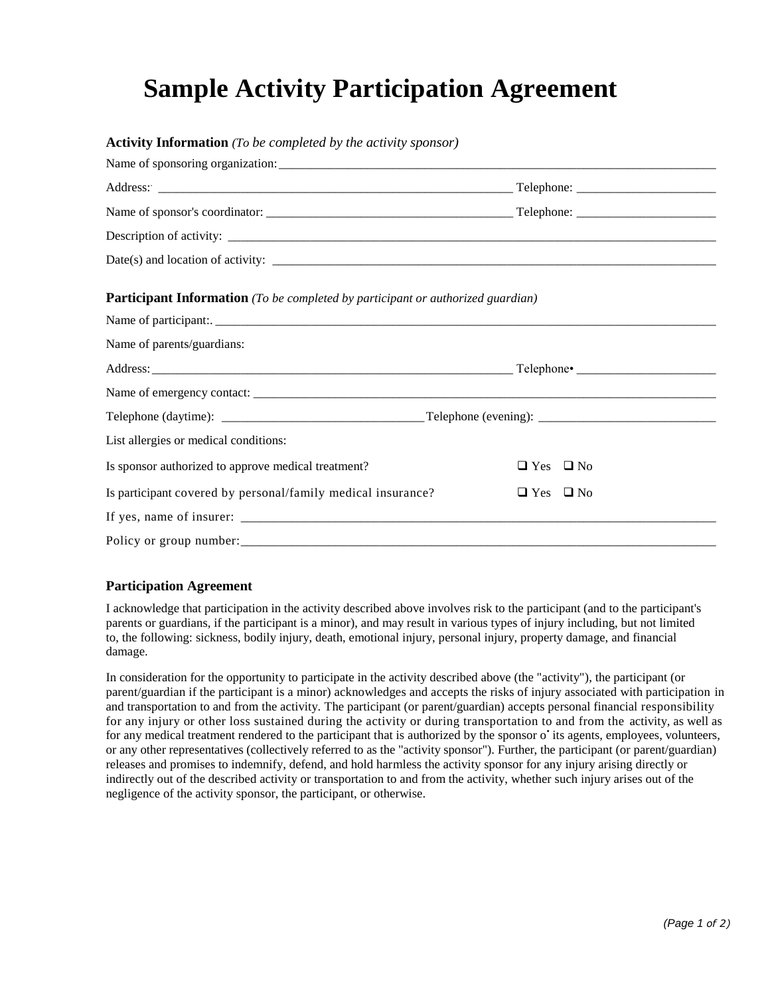### **Sample Activity Participation Agreement**

**Activity Information** *(To be completed by the activity sponsor)*

| <b>Participant Information</b> (To be completed by participant or authorized guardian) |                      |
|----------------------------------------------------------------------------------------|----------------------|
| Name of parents/guardians:                                                             |                      |
|                                                                                        |                      |
|                                                                                        |                      |
|                                                                                        |                      |
| List allergies or medical conditions:                                                  |                      |
| Is sponsor authorized to approve medical treatment?                                    | $\Box$ Yes $\Box$ No |
| Is participant covered by personal/family medical insurance?                           | $\Box$ Yes $\Box$ No |
|                                                                                        |                      |
|                                                                                        |                      |

#### **Participation Agreement**

I acknowledge that participation in the activity described above involves risk to the participant (and to the participant's parents or guardians, if the participant is a minor), and may result in various types of injury including, but not limited to, the following: sickness, bodily injury, death, emotional injury, personal injury, property damage, and financial damage.

In consideration for the opportunity to participate in the activity described above (the "activity"), the participant (or parent/guardian if the participant is a minor) acknowledges and accepts the risks of injury associated with participation in and transportation to and from the activity. The participant (or parent/guardian) accepts personal financial responsibility for any injury or other loss sustained during the activity or during transportation to and from the activity, as well as for any medical treatment rendered to the participant that is authorized by the sponsor o' its agents, employees, volunteers, or any other representatives (collectively referred to as the "activity sponsor"). Further, the participant (or parent/guardian) releases and promises to indemnify, defend, and hold harmless the activity sponsor for any injury arising directly or indirectly out of the described activity or transportation to and from the activity, whether such injury arises out of the negligence of the activity sponsor, the participant, or otherwise.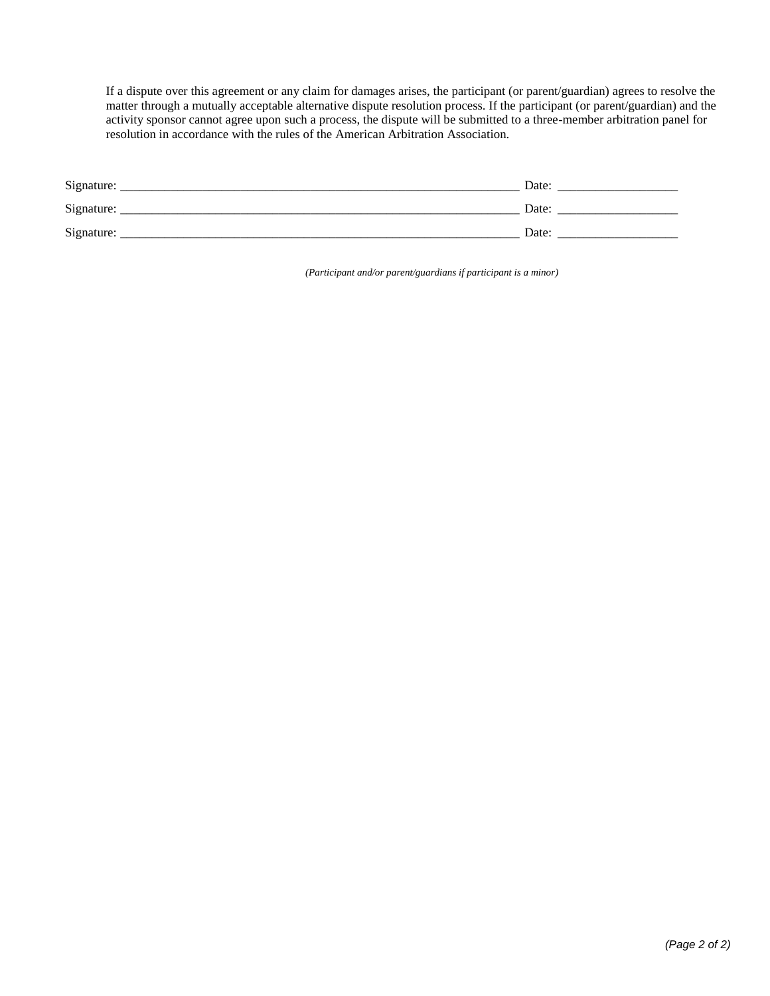If a dispute over this agreement or any claim for damages arises, the participant (or parent/guardian) agrees to resolve the matter through a mutually acceptable alternative dispute resolution process. If the participant (or parent/guardian) and the activity sponsor cannot agree upon such a process, the dispute will be submitted to a three-member arbitration panel for resolution in accordance with the rules of the American Arbitration Association.

| Signature: | Date: |
|------------|-------|
| Signature: | Date: |
| Signature: | Date: |

*(Participant and/or parent/guardians if participant is a minor)*